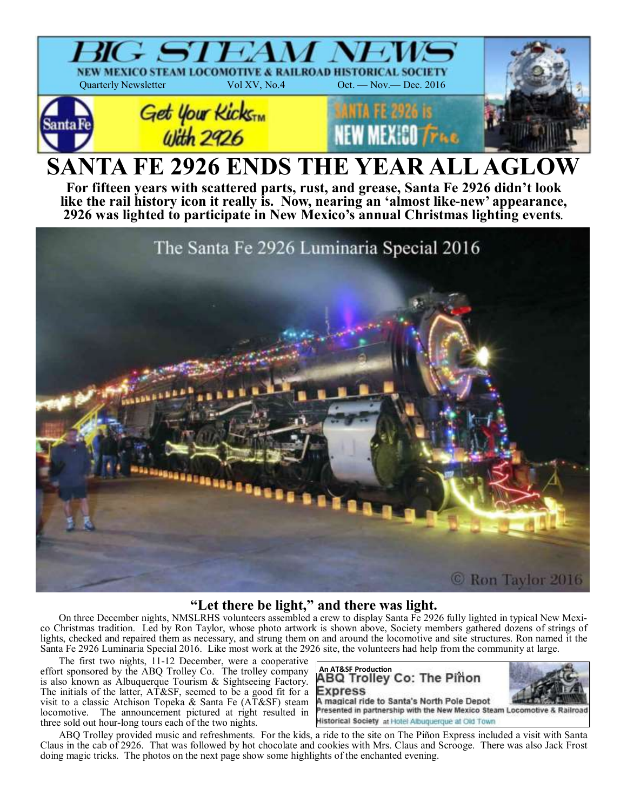

# **"Let there be light," and there was light.**

On three December nights, NMSLRHS volunteers assembled a crew to display Santa Fe 2926 fully lighted in typical New Mexico Christmas tradition. Led by Ron Taylor, whose photo artwork is shown above, Society members gathered dozens of strings of lights, checked and repaired them as necessary, and strung them on and around the locomotive and site structures. Ron named it the Santa Fe 2926 Luminaria Special 2016. Like most work at the 2926 site, the volunteers had help from the community at large.

The first two nights, 11-12 December, were a cooperative effort sponsored by the ABQ Trolley Co. The trolley company is also known as Albuquerque Tourism & Sightseeing Factory. The initials of the latter, AT&SF, seemed to be a good fit for a visit to a classic Atchison Topeka & Santa Fe (AT&SF) steam locomotive. The announcement pictured at right resulted in three sold out hour-long tours each of the two nights.



Historical Society at Hotel Albuquerque at Old Town

ABQ Trolley provided music and refreshments. For the kids, a ride to the site on The Piñon Express included a visit with Santa Claus in the cab of 2926. That was followed by hot chocolate and cookies with Mrs. Claus and Scrooge. There was also Jack Frost doing magic tricks. The photos on the next page show some highlights of the enchanted evening.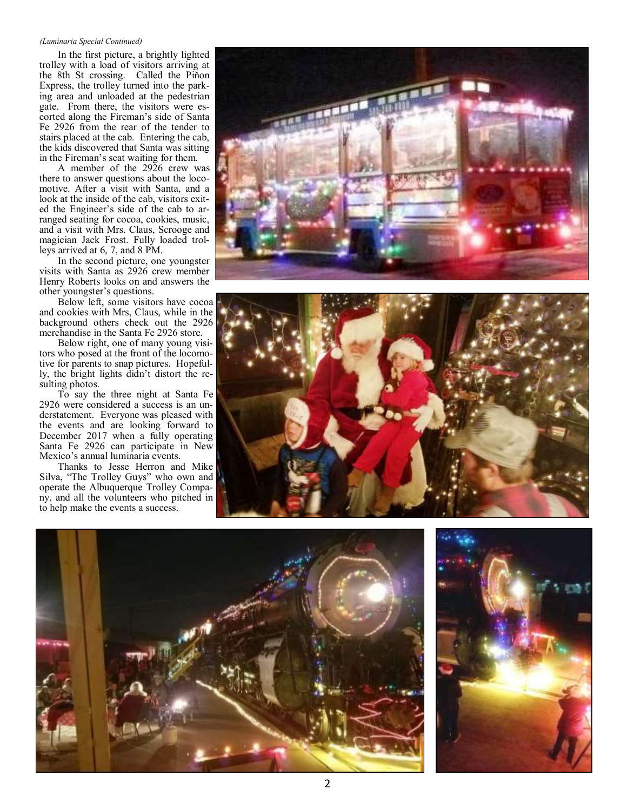#### *(Luminaria Special Continued)*

In the first picture, a brightly lighted trolley with a load of visitors arriving at the 8th St crossing. Called the Piňon Express, the trolley turned into the parking area and unloaded at the pedestrian gate. From there, the visitors were escorted along the Fireman's side of Santa Fe 2926 from the rear of the tender to stairs placed at the cab. Entering the cab, the kids discovered that Santa was sitting in the Fireman's seat waiting for them.

A member of the 2926 crew was there to answer questions about the locomotive. After a visit with Santa, and a look at the inside of the cab, visitors exited the Engineer's side of the cab to arranged seating for cocoa, cookies, music, and a visit with Mrs. Claus, Scrooge and magician Jack Frost. Fully loaded trolleys arrived at 6, 7, and 8 PM.

In the second picture, one youngster visits with Santa as 2926 crew member Henry Roberts looks on and answers the other youngster's questions.

Below left, some visitors have cocoa and cookies with Mrs, Claus, while in the background others check out the 2926 merchandise in the Santa Fe 2926 store.

Below right, one of many young visitors who posed at the front of the locomotive for parents to snap pictures. Hopefully, the bright lights didn't distort the resulting photos.

To say the three night at Santa Fe 2926 were considered a success is an understatement. Everyone was pleased with the events and are looking forward to December 2017 when a fully operating Santa Fe 2926 can participate in New Mexico's annual luminaria events.

Thanks to Jesse Herron and Mike Silva, "The Trolley Guys" who own and operate the Albuquerque Trolley Company, and all the volunteers who pitched in to help make the events a success.







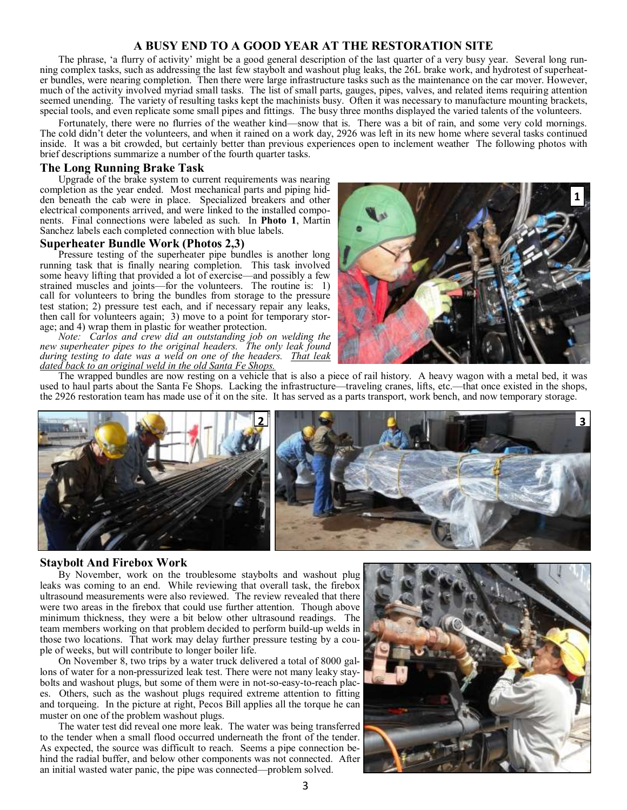# **A BUSY END TO A GOOD YEAR AT THE RESTORATION SITE**

The phrase, 'a flurry of activity' might be a good general description of the last quarter of a very busy year. Several long running complex tasks, such as addressing the last few staybolt and washout plug leaks, the 26L brake work, and hydrotest of superheater bundles, were nearing completion. Then there were large infrastructure tasks such as the maintenance on the car mover. However, much of the activity involved myriad small tasks. The list of small parts, gauges, pipes, valves, and related items requiring attention seemed unending. The variety of resulting tasks kept the machinists busy. Often it was necessary to manufacture mounting brackets, special tools, and even replicate some small pipes and fittings. The busy three months displayed the varied talents of the volunteers.

Fortunately, there were no flurries of the weather kind—snow that is. There was a bit of rain, and some very cold mornings. The cold didn't deter the volunteers, and when it rained on a work day, 2926 was left in its new home where several tasks continued inside. It was a bit crowded, but certainly better than previous experiences open to inclement weather The following photos with brief descriptions summarize a number of the fourth quarter tasks.

## **The Long Running Brake Task**

Upgrade of the brake system to current requirements was nearing completion as the year ended. Most mechanical parts and piping hidden beneath the cab were in place. Specialized breakers and other electrical components arrived, and were linked to the installed components. Final connections were labeled as such. In **Photo 1**, Martin Sanchez labels each completed connection with blue labels.

#### **Superheater Bundle Work (Photos 2,3)**

Pressure testing of the superheater pipe bundles is another long running task that is finally nearing completion. This task involved some heavy lifting that provided a lot of exercise—and possibly a few strained muscles and joints—for the volunteers. The routine is: 1) call for volunteers to bring the bundles from storage to the pressure test station; 2) pressure test each, and if necessary repair any leaks, then call for volunteers again; 3) move to a point for temporary storage; and 4) wrap them in plastic for weather protection.

*Note: Carlos and crew did an outstanding job on welding the new superheater pipes to the original headers. The only leak found during testing to date was a weld on one of the headers. That leak dated back to an original weld in the old Santa Fe Shops.* 



The wrapped bundles are now resting on a vehicle that is also a piece of rail history. A heavy wagon with a metal bed, it was used to haul parts about the Santa Fe Shops. Lacking the infrastructure—traveling cranes, lifts, etc.—that once existed in the shops, the 2926 restoration team has made use of it on the site. It has served as a parts transport, work bench, and now temporary storage.



#### **Staybolt And Firebox Work**

By November, work on the troublesome staybolts and washout plug leaks was coming to an end. While reviewing that overall task, the firebox ultrasound measurements were also reviewed. The review revealed that there were two areas in the firebox that could use further attention. Though above minimum thickness, they were a bit below other ultrasound readings. The team members working on that problem decided to perform build-up welds in those two locations. That work may delay further pressure testing by a couple of weeks, but will contribute to longer boiler life.

On November 8, two trips by a water truck delivered a total of 8000 gallons of water for a non-pressurized leak test. There were not many leaky staybolts and washout plugs, but some of them were in not-so-easy-to-reach places. Others, such as the washout plugs required extreme attention to fitting and torqueing. In the picture at right, Pecos Bill applies all the torque he can muster on one of the problem washout plugs.

The water test did reveal one more leak. The water was being transferred to the tender when a small flood occurred underneath the front of the tender. As expected, the source was difficult to reach. Seems a pipe connection behind the radial buffer, and below other components was not connected. After an initial wasted water panic, the pipe was connected—problem solved.

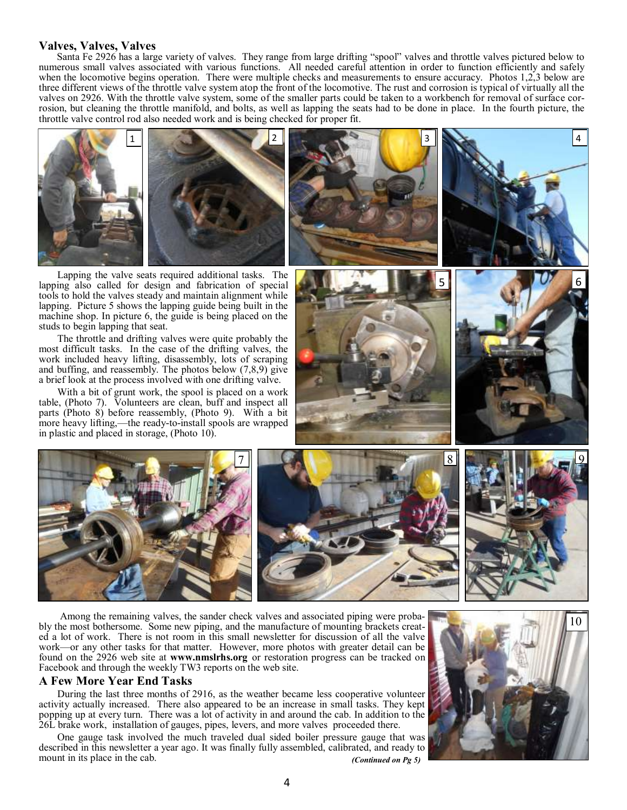## **Valves, Valves, Valves**

Santa Fe 2926 has a large variety of valves. They range from large drifting "spool" valves and throttle valves pictured below to numerous small valves associated with various functions. All needed careful attention in order to function efficiently and safely when the locomotive begins operation. There were multiple checks and measurements to ensure accuracy. Photos 1,2,3 below are three different views of the throttle valve system atop the front of the locomotive. The rust and corrosion is typical of virtually all the valves on 2926. With the throttle valve system, some of the smaller parts could be taken to a workbench for removal of surface corrosion, but cleaning the throttle manifold, and bolts, as well as lapping the seats had to be done in place. In the fourth picture, the throttle valve control rod also needed work and is being checked for proper fit.



Lapping the valve seats required additional tasks. The lapping also called for design and fabrication of special tools to hold the valves steady and maintain alignment while lapping. Picture 5 shows the lapping guide being built in the machine shop. In picture 6, the guide is being placed on the studs to begin lapping that seat.

The throttle and drifting valves were quite probably the most difficult tasks. In the case of the drifting valves, the work included heavy lifting, disassembly, lots of scraping and buffing, and reassembly. The photos below (7,8,9) give a brief look at the process involved with one drifting valve.

With a bit of grunt work, the spool is placed on a work table, (Photo 7). Volunteers are clean, buff and inspect all parts (Photo 8) before reassembly, (Photo 9). With a bit more heavy lifting,—the ready-to-install spools are wrapped in plastic and placed in storage, (Photo 10).





Among the remaining valves, the sander check valves and associated piping were probably the most bothersome. Some new piping, and the manufacture of mounting brackets created a lot of work. There is not room in this small newsletter for discussion of all the valve work—or any other tasks for that matter. However, more photos with greater detail can be found on the 2926 web site at **www.nmslrhs.org** or restoration progress can be tracked on Facebook and through the weekly TW3 reports on the web site.

## **A Few More Year End Tasks**

During the last three months of 2916, as the weather became less cooperative volunteer activity actually increased. There also appeared to be an increase in small tasks. They kept popping up at every turn. There was a lot of activity in and around the cab. In addition to the 26L brake work, installation of gauges, pipes, levers, and more valves proceeded there.

One gauge task involved the much traveled dual sided boiler pressure gauge that was described in this newsletter a year ago. It was finally fully assembled, calibrated, and ready to mount in its place in the cab. *(Continued on Pg 5)*

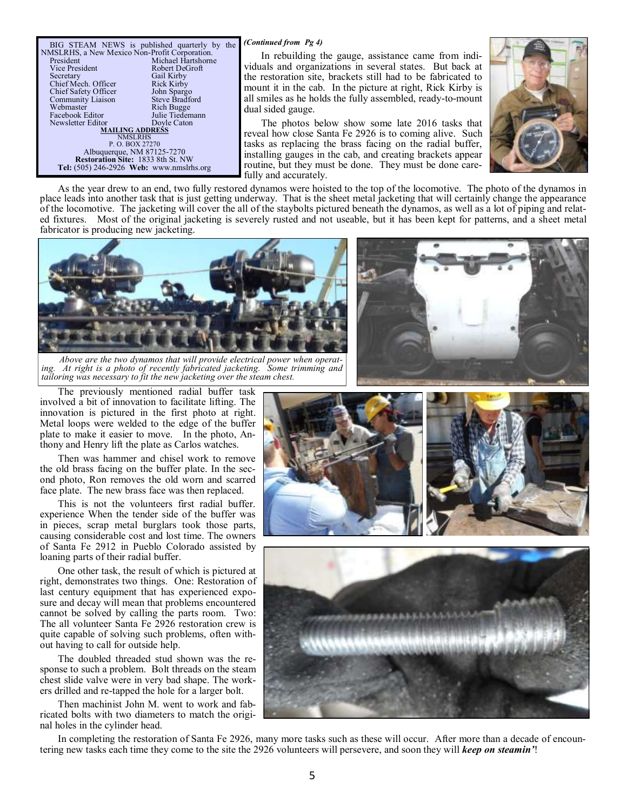dual sided gauge. BIG STEAM NEWS is published quarterly by the *(Continued from Pg 4)*<br>NMSLRHS, a New Mexico Non-Profit Corporation. In rebuilding t President Michael Hartshorne Vice President Robert DeGroft Secretary Gail Kirby<br>Chief Mech. Officer Rick Kirby Chief Mech. Officer<br>
Chief Safety Officer<br>
John Spargo Chief Safety Officer John Spargo<br>
Community Liaison Steve Bradford Community Liaison<br>Webmaster Rich Bugge<br>Julie Tiedemann Facebook Editor Julie Tiedem<br>Newsletter Editor Doyle Caton Newsletter Editor **MAILING ADDRESS**  NMSLRHS P. O. BOX 27270 Albuquerque, NM 87125-7270 **Restoration Site:** 1833 8th St. NW **Tel:** (505) 246-2926 **Web:** www.nmslrhs.org

In rebuilding the gauge, assistance came from individuals and organizations in several states. But back at the restoration site, brackets still had to be fabricated to mount it in the cab. In the picture at right, Rick Kirby is all smiles as he holds the fully assembled, ready-to-mount

The photos below show some late 2016 tasks that reveal how close Santa Fe 2926 is to coming alive. Such tasks as replacing the brass facing on the radial buffer, installing gauges in the cab, and creating brackets appear routine, but they must be done. They must be done carefully and accurately.



As the year drew to an end, two fully restored dynamos were hoisted to the top of the locomotive. The photo of the dynamos in place leads into another task that is just getting underway. That is the sheet metal jacketing that will certainly change the appearance of the locomotive. The jacketing will cover the all of the staybolts pictured beneath the dynamos, as well as a lot of piping and related fixtures. Most of the original jacketing is severely rusted and not useable, but it has been kept for patterns, and a sheet metal fabricator is producing new jacketing.



*Above are the two dynamos that will provide electrical power when operat*ing. At right is a photo of recently fabricated jacketing. Some trimming and *tailoring was necessary to fit the new jacketing over the steam chest.* 

The previously mentioned radial buffer task involved a bit of innovation to facilitate lifting. The innovation is pictured in the first photo at right. Metal loops were welded to the edge of the buffer plate to make it easier to move. In the photo, Anthony and Henry lift the plate as Carlos watches.

Then was hammer and chisel work to remove the old brass facing on the buffer plate. In the second photo, Ron removes the old worn and scarred face plate. The new brass face was then replaced.

This is not the volunteers first radial buffer. experience When the tender side of the buffer was in pieces, scrap metal burglars took those parts, causing considerable cost and lost time. The owners of Santa Fe 2912 in Pueblo Colorado assisted by loaning parts of their radial buffer.

One other task, the result of which is pictured at right, demonstrates two things. One: Restoration of last century equipment that has experienced exposure and decay will mean that problems encountered cannot be solved by calling the parts room. Two: The all volunteer Santa Fe 2926 restoration crew is quite capable of solving such problems, often without having to call for outside help.

The doubled threaded stud shown was the response to such a problem. Bolt threads on the steam chest slide valve were in very bad shape. The workers drilled and re-tapped the hole for a larger bolt.

Then machinist John M. went to work and fabricated bolts with two diameters to match the original holes in the cylinder head.







In completing the restoration of Santa Fe 2926, many more tasks such as these will occur. After more than a decade of encountering new tasks each time they come to the site the 2926 volunteers will persevere, and soon they will *keep on steamin'*!